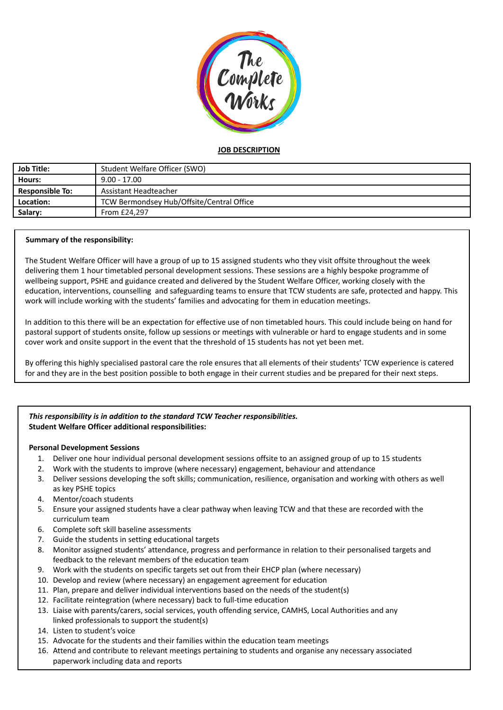

# **JOB DESCRIPTION**

| <b>Job Title:</b>      | Student Welfare Officer (SWO)             |
|------------------------|-------------------------------------------|
| Hours:                 | $9.00 - 17.00$                            |
| <b>Responsible To:</b> | Assistant Headteacher                     |
| Location:              | TCW Bermondsey Hub/Offsite/Central Office |
| Salary:                | From £24.297                              |

## **Summary of the responsibility:**

The Student Welfare Officer will have a group of up to 15 assigned students who they visit offsite throughout the week delivering them 1 hour timetabled personal development sessions. These sessions are a highly bespoke programme of wellbeing support, PSHE and guidance created and delivered by the Student Welfare Officer, working closely with the education, interventions, counselling and safeguarding teams to ensure that TCW students are safe, protected and happy. This work will include working with the students' families and advocating for them in education meetings.

In addition to this there will be an expectation for effective use of non timetabled hours. This could include being on hand for pastoral support of students onsite, follow up sessions or meetings with vulnerable or hard to engage students and in some cover work and onsite support in the event that the threshold of 15 students has not yet been met.

By offering this highly specialised pastoral care the role ensures that all elements of their students' TCW experience is catered for and they are in the best position possible to both engage in their current studies and be prepared for their next steps.

## *This responsibility is in addition to the standard TCW Teacher responsibilities.* **Student Welfare Officer additional responsibilities:**

## **Personal Development Sessions**

- 1. Deliver one hour individual personal development sessions offsite to an assigned group of up to 15 students
- 2. Work with the students to improve (where necessary) engagement, behaviour and attendance
- 3. Deliver sessions developing the soft skills; communication, resilience, organisation and working with others as well as key PSHE topics
- 4. Mentor/coach students
- 5. Ensure your assigned students have a clear pathway when leaving TCW and that these are recorded with the curriculum team
- 6. Complete soft skill baseline assessments
- 7. Guide the students in setting educational targets
- 8. Monitor assigned students' attendance, progress and performance in relation to their personalised targets and feedback to the relevant members of the education team
- 9. Work with the students on specific targets set out from their EHCP plan (where necessary)
- 10. Develop and review (where necessary) an engagement agreement for education
- 11. Plan, prepare and deliver individual interventions based on the needs of the student(s)
- 12. Facilitate reintegration (where necessary) back to full-time education
- 13. Liaise with parents/carers, social services, youth offending service, CAMHS, Local Authorities and any linked professionals to support the student(s)
- 14. Listen to student's voice
- 15. Advocate for the students and their families within the education team meetings
- 16. Attend and contribute to relevant meetings pertaining to students and organise any necessary associated paperwork including data and reports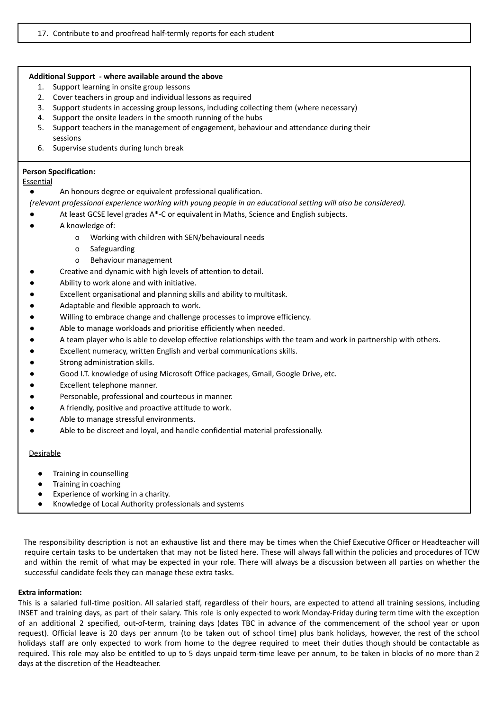#### **Additional Support - where available around the above**

- 1. Support learning in onsite group lessons
- 2. Cover teachers in group and individual lessons as required
- 3. Support students in accessing group lessons, including collecting them (where necessary)
- 4. Support the onsite leaders in the smooth running of the hubs
- 5. Support teachers in the management of engagement, behaviour and attendance during their sessions
- 6. Supervise students during lunch break

### **Person Specification:**

## **Essential**

- An honours degree or equivalent professional qualification.
- *(relevant professional experience working with young people in an educational setting will also be considered).*
- At least GCSE level grades  $A^*$ -C or equivalent in Maths, Science and English subjects.
- A knowledge of:
	- o Working with children with SEN/behavioural needs
	- o Safeguarding
	- o Behaviour management
- Creative and dynamic with high levels of attention to detail.
- Ability to work alone and with initiative.
- Excellent organisational and planning skills and ability to multitask.
- Adaptable and flexible approach to work.
- Willing to embrace change and challenge processes to improve efficiency.
- Able to manage workloads and prioritise efficiently when needed.
- A team player who is able to develop effective relationships with the team and work in partnership with others.
- Excellent numeracy, written English and verbal communications skills.
- Strong administration skills.
- Good I.T. knowledge of using Microsoft Office packages, Gmail, Google Drive, etc.
- Excellent telephone manner.
- Personable, professional and courteous in manner.
- A friendly, positive and proactive attitude to work.
- Able to manage stressful environments.
- Able to be discreet and loyal, and handle confidential material professionally.

#### **Desirable**

- Training in counselling
- Training in coaching
- Experience of working in a charity.
- Knowledge of Local Authority professionals and systems

The responsibility description is not an exhaustive list and there may be times when the Chief Executive Officer or Headteacher will require certain tasks to be undertaken that may not be listed here. These will always fall within the policies and procedures of TCW and within the remit of what may be expected in your role. There will always be a discussion between all parties on whether the successful candidate feels they can manage these extra tasks.

#### **Extra information:**

This is a salaried full-time position. All salaried staff, regardless of their hours, are expected to attend all training sessions, including INSET and training days, as part of their salary. This role is only expected to work Monday-Friday during term time with the exception of an additional 2 specified, out-of-term, training days (dates TBC in advance of the commencement of the school year or upon request). Official leave is 20 days per annum (to be taken out of school time) plus bank holidays, however, the rest of the school holidays staff are only expected to work from home to the degree required to meet their duties though should be contactable as required. This role may also be entitled to up to 5 days unpaid term-time leave per annum, to be taken in blocks of no more than 2 days at the discretion of the Headteacher.